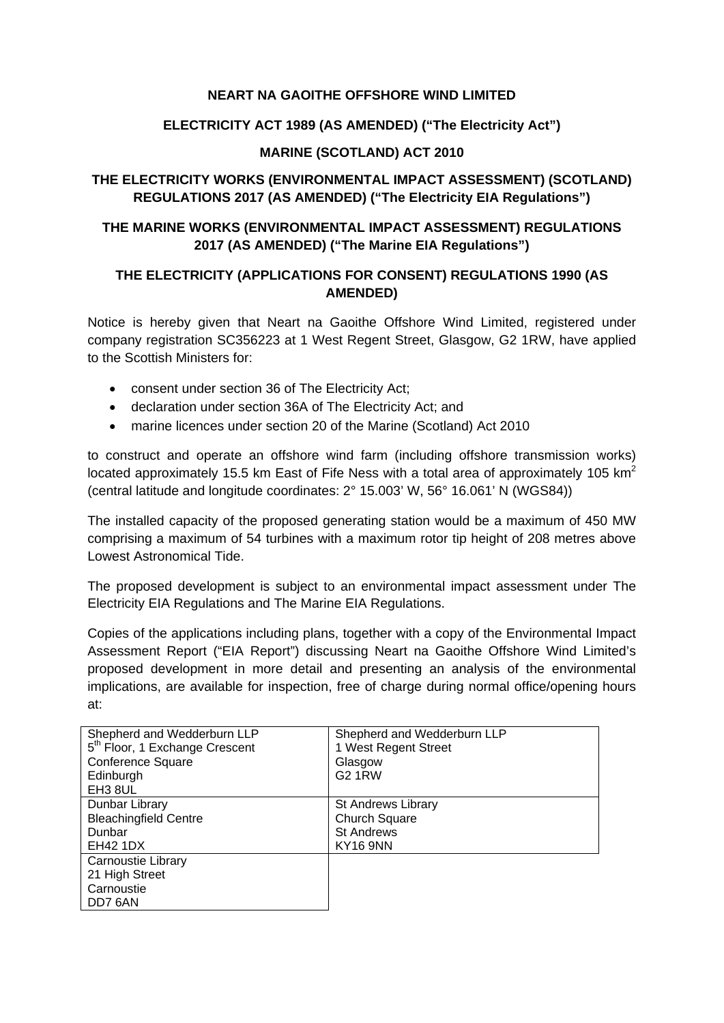#### **NEART NA GAOITHE OFFSHORE WIND LIMITED**

### **ELECTRICITY ACT 1989 (AS AMENDED) ("The Electricity Act")**

#### **MARINE (SCOTLAND) ACT 2010**

# **THE ELECTRICITY WORKS (ENVIRONMENTAL IMPACT ASSESSMENT) (SCOTLAND) REGULATIONS 2017 (AS AMENDED) ("The Electricity EIA Regulations")**

# **THE MARINE WORKS (ENVIRONMENTAL IMPACT ASSESSMENT) REGULATIONS 2017 (AS AMENDED) ("The Marine EIA Regulations")**

# **THE ELECTRICITY (APPLICATIONS FOR CONSENT) REGULATIONS 1990 (AS AMENDED)**

Notice is hereby given that Neart na Gaoithe Offshore Wind Limited, registered under company registration SC356223 at 1 West Regent Street, Glasgow, G2 1RW, have applied to the Scottish Ministers for:

- consent under section 36 of The Electricity Act;
- declaration under section 36A of The Electricity Act; and
- marine licences under section 20 of the Marine (Scotland) Act 2010

to construct and operate an offshore wind farm (including offshore transmission works) located approximately 15.5 km East of Fife Ness with a total area of approximately 105 km<sup>2</sup> (central latitude and longitude coordinates: 2° 15.003' W, 56° 16.061' N (WGS84))

The installed capacity of the proposed generating station would be a maximum of 450 MW comprising a maximum of 54 turbines with a maximum rotor tip height of 208 metres above Lowest Astronomical Tide.

The proposed development is subject to an environmental impact assessment under The Electricity EIA Regulations and The Marine EIA Regulations.

Copies of the applications including plans, together with a copy of the Environmental Impact Assessment Report ("EIA Report") discussing Neart na Gaoithe Offshore Wind Limited's proposed development in more detail and presenting an analysis of the environmental implications, are available for inspection, free of charge during normal office/opening hours at:

| Shepherd and Wedderburn LLP<br>5 <sup>th</sup> Floor, 1 Exchange Crescent | Shepherd and Wedderburn LLP<br>1 West Regent Street |
|---------------------------------------------------------------------------|-----------------------------------------------------|
| Conference Square                                                         | Glasgow                                             |
| Edinburgh                                                                 | <b>G2 1RW</b>                                       |
| EH <sub>3</sub> 8UL                                                       |                                                     |
| Dunbar Library                                                            | St Andrews Library                                  |
| <b>Bleachingfield Centre</b>                                              | Church Square                                       |
| Dunbar                                                                    | <b>St Andrews</b>                                   |
| EH42 1DX                                                                  | <b>KY16 9NN</b>                                     |
| Carnoustie Library                                                        |                                                     |
| 21 High Street                                                            |                                                     |
| Carnoustie                                                                |                                                     |
| DD7 6AN                                                                   |                                                     |